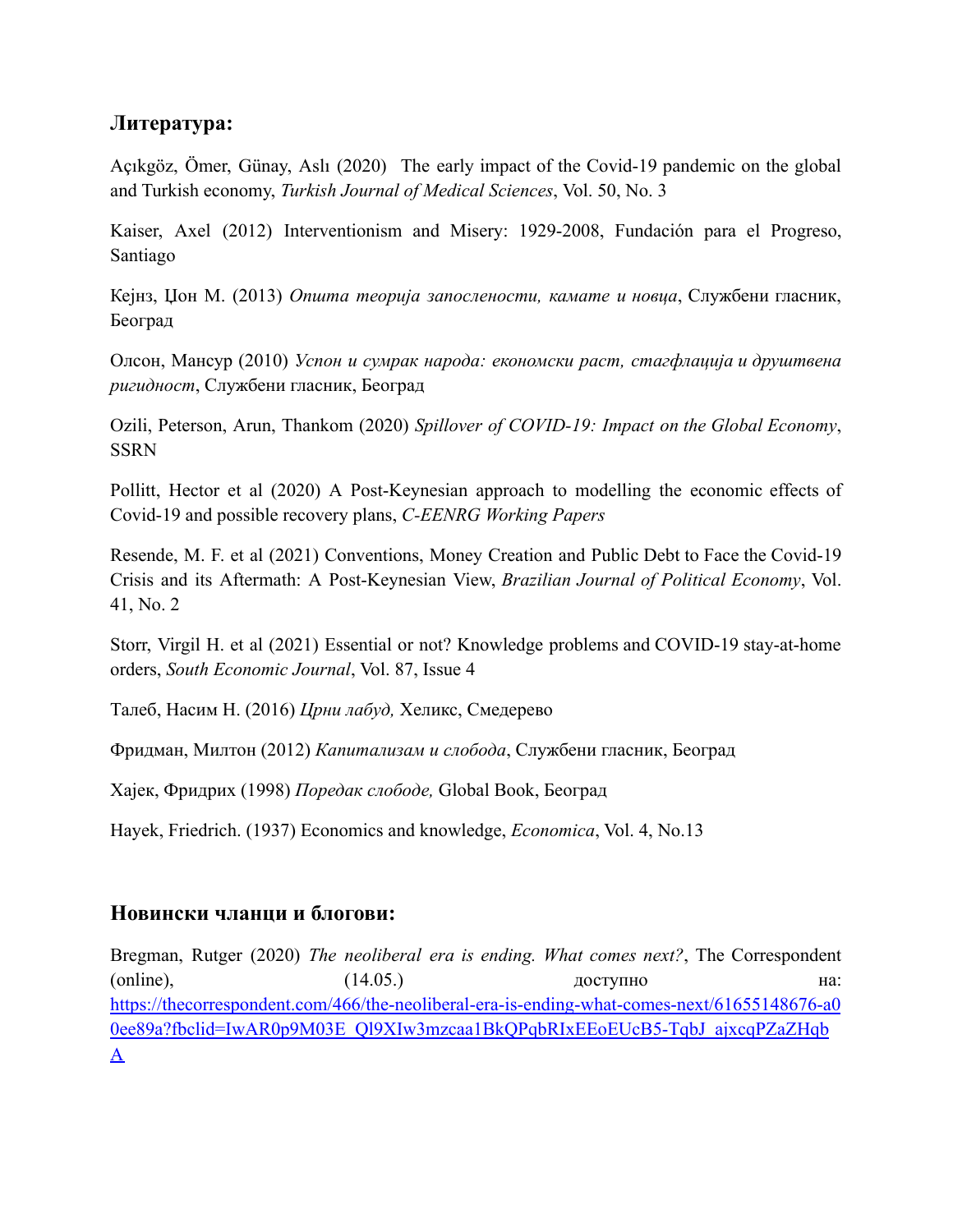## **Литература:**

Açıkgöz, Ömer, Günay, Aslı (2020) The early impact of the Covid-19 pandemic on the global and Turkish economy, *Turkish Journal of Medical Sciences*, Vol. 50, No. 3

Kaiser, Axel (2012) Interventionism and Misery: 1929-2008, Fundación para el Progreso, Santiago

Кејнз, Џон М. (2013) *Општа теорија запослености, камате и новца*, Службени гласник, Београд

Олсон, Мансур (2010) *Успон и сумрак народа: економски раст, стагфлација и друштвена ригидност*, Службени гласник, Београд

Ozili, Peterson, Arun, Thankom (2020) *Spillover of COVID-19: Impact on the Global Economy*, SSRN

Pollitt, Hector et al (2020) A Post-Keynesian approach to modelling the economic effects of Covid-19 and possible recovery plans, *C-EENRG Working Papers*

Resende, M. F. et al (2021) Conventions, Money Creation and Public Debt to Face the Covid-19 Crisis and its Aftermath: A Post-Keynesian View, *Brazilian Journal of Political Economy*, Vol. 41, No. 2

Storr, Virgil H. et al (2021) Essential or not? Knowledge problems and COVID-19 stay-at-home orders, *South Economic Journal*, Vol. 87, Issue 4

Талеб, Насим Н. (2016) *Црни лабуд,* Хеликс, Смедерево

Фридман, Милтон (2012) *Капитализам и слобода*, Службени гласник, Београд

Хајек, Фридрих (1998) *Поредак слободе,* Global Book, Београд

Hayek, Friedrich. (1937) Economics and knowledge, *Economica*, Vol. 4, No.13

## **Новински чланци и блогови:**

Bregman, Rutger (2020) *The neoliberal era is ending. What comes next?*, The Correspondent (online), (14.05.) доступно на: [https://thecorrespondent.com/466/the-neoliberal-era-is-ending-what-comes-next/61655148676-a0](https://thecorrespondent.com/466/the-neoliberal-era-is-ending-what-comes-next/61655148676-a00ee89a?fbclid=IwAR0p9M03E_Ql9XIw3mzcaa1BkQPqbRIxEEoEUcB5-TqbJ_ajxcqPZaZHqbA) [0ee89a?fbclid=IwAR0p9M03E\\_Ql9XIw3mzcaa1BkQPqbRIxEEoEUcB5-TqbJ\\_ajxcqPZaZHqb](https://thecorrespondent.com/466/the-neoliberal-era-is-ending-what-comes-next/61655148676-a00ee89a?fbclid=IwAR0p9M03E_Ql9XIw3mzcaa1BkQPqbRIxEEoEUcB5-TqbJ_ajxcqPZaZHqbA) [A](https://thecorrespondent.com/466/the-neoliberal-era-is-ending-what-comes-next/61655148676-a00ee89a?fbclid=IwAR0p9M03E_Ql9XIw3mzcaa1BkQPqbRIxEEoEUcB5-TqbJ_ajxcqPZaZHqbA)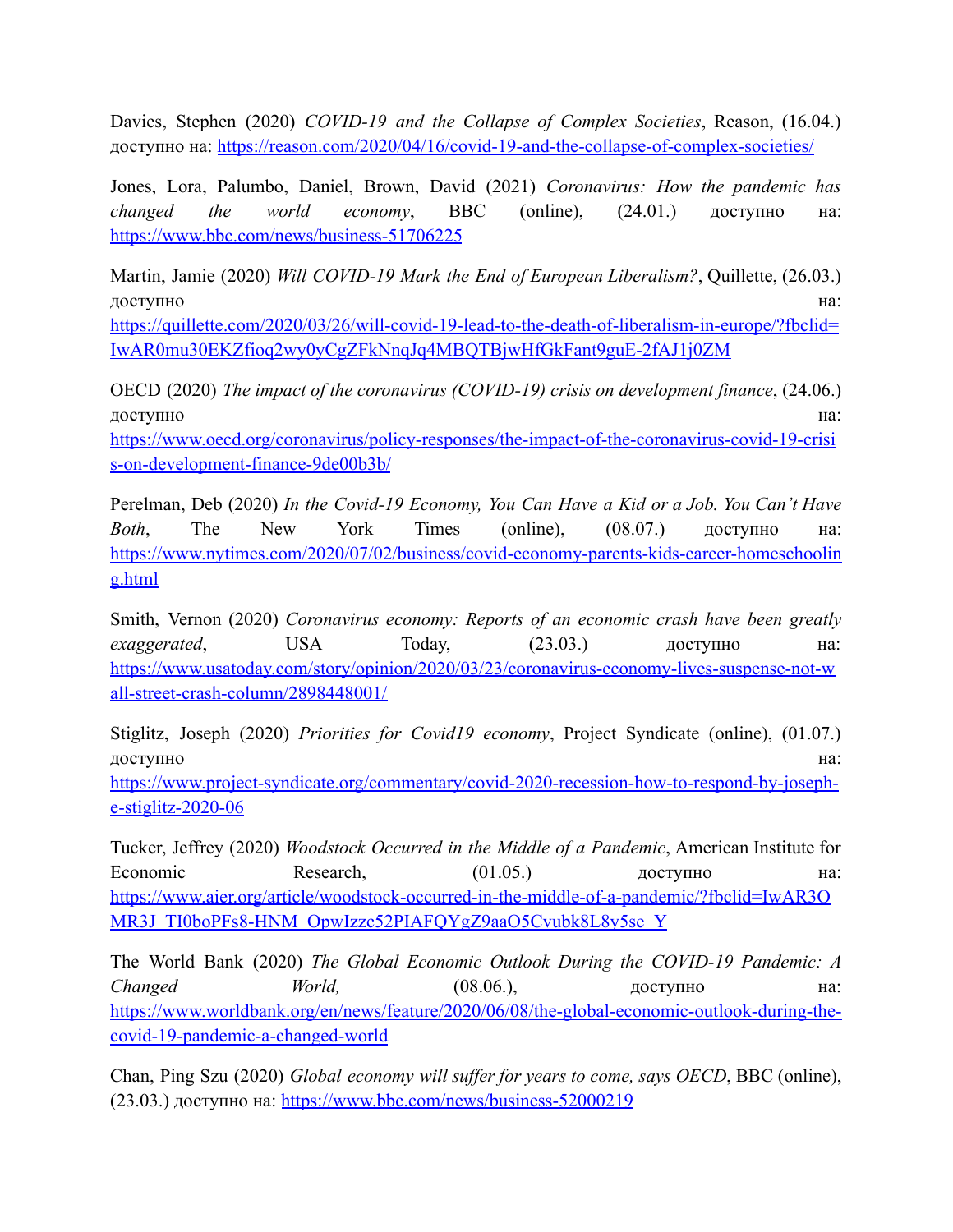Davies, Stephen (2020) *COVID-19 and the Collapse of Complex Societies*, Reason, (16.04.) доступно на: <https://reason.com/2020/04/16/covid-19-and-the-collapse-of-complex-societies/>

Jones, Lora, Palumbo, Daniel, Brown, David (2021) *Coronavirus: How the pandemic has changed the world economy*, BBC (online), (24.01.) доступно на: <https://www.bbc.com/news/business-51706225>

Martin, Jamie (2020) *Will COVID-19 Mark the End of European Liberalism?*, Quillette, (26.03.) доступно на:

[https://quillette.com/2020/03/26/will-covid-19-lead-to-the-death-of-liberalism-in-europe/?fbclid=](https://quillette.com/2020/03/26/will-covid-19-lead-to-the-death-of-liberalism-in-europe/?fbclid=IwAR0mu30EKZfioq2wy0yCgZFkNnqJq4MBQTBjwHfGkFant9guE-2fAJ1j0ZM) [IwAR0mu30EKZfioq2wy0yCgZFkNnqJq4MBQTBjwHfGkFant9guE-2fAJ1j0ZM](https://quillette.com/2020/03/26/will-covid-19-lead-to-the-death-of-liberalism-in-europe/?fbclid=IwAR0mu30EKZfioq2wy0yCgZFkNnqJq4MBQTBjwHfGkFant9guE-2fAJ1j0ZM)

OECD (2020) *The impact of the coronavirus (COVID-19) crisis on development finance*, (24.06.) доступно на:

[https://www.oecd.org/coronavirus/policy-responses/the-impact-of-the-coronavirus-covid-19-crisi](https://www.oecd.org/coronavirus/policy-responses/the-impact-of-the-coronavirus-covid-19-crisis-on-development-finance-9de00b3b/) [s-on-development-finance-9de00b3b/](https://www.oecd.org/coronavirus/policy-responses/the-impact-of-the-coronavirus-covid-19-crisis-on-development-finance-9de00b3b/)

Perelman, Deb (2020) *In the Covid-19 Economy, You Can Have a Kid or a Job. You Can't Have Both*, The New York Times (online), (08.07.) доступно на: [https://www.nytimes.com/2020/07/02/business/covid-economy-parents-kids-career-homeschoolin](https://www.nytimes.com/2020/07/02/business/covid-economy-parents-kids-career-homeschooling.html) [g.html](https://www.nytimes.com/2020/07/02/business/covid-economy-parents-kids-career-homeschooling.html)

Smith, Vernon (2020) *Coronavirus economy: Reports of an economic crash have been greatly exaggerated*, USA Today, (23.03.) доступно на: [https://www.usatoday.com/story/opinion/2020/03/23/coronavirus-economy-lives-suspense-not-w](https://www.usatoday.com/story/opinion/2020/03/23/coronavirus-economy-lives-suspense-not-wall-street-crash-column/2898448001/) [all-street-crash-column/2898448001/](https://www.usatoday.com/story/opinion/2020/03/23/coronavirus-economy-lives-suspense-not-wall-street-crash-column/2898448001/)

Stiglitz, Joseph (2020) *Priorities for Covid19 economy*, Project Syndicate (online), (01.07.) доступно на:

[https://www.project-syndicate.org/commentary/covid-2020-recession-how-to-respond-by-joseph](https://www.project-syndicate.org/commentary/covid-2020-recession-how-to-respond-by-joseph-e-stiglitz-2020-06)[e-stiglitz-2020-06](https://www.project-syndicate.org/commentary/covid-2020-recession-how-to-respond-by-joseph-e-stiglitz-2020-06)

Tucker, Jeffrey (2020) *Woodstock Occurred in the Middle of a Pandemic*, American Institute for Economic Research, (01.05.) доступно на: [https://www.aier.org/article/woodstock-occurred-in-the-middle-of-a-pandemic/?fbclid=IwAR3O](https://www.aier.org/article/woodstock-occurred-in-the-middle-of-a-pandemic/?fbclid=IwAR3OMR3J_TI0boPFs8-HNM_OpwIzzc52PIAFQYgZ9aaO5Cvubk8L8y5se_Y) [MR3J\\_TI0boPFs8-HNM\\_OpwIzzc52PIAFQYgZ9aaO5Cvubk8L8y5se\\_Y](https://www.aier.org/article/woodstock-occurred-in-the-middle-of-a-pandemic/?fbclid=IwAR3OMR3J_TI0boPFs8-HNM_OpwIzzc52PIAFQYgZ9aaO5Cvubk8L8y5se_Y)

The World Bank (2020) *The Global Economic Outlook During the COVID-19 Pandemic: A Changed World,* (08.06.), доступно на: [https://www.worldbank.org/en/news/feature/2020/06/08/the-global-economic-outlook-during-the](https://www.worldbank.org/en/news/feature/2020/06/08/the-global-economic-outlook-during-the-covid-19-pandemic-a-changed-world%20)[covid-19-pandemic-a-changed-world](https://www.worldbank.org/en/news/feature/2020/06/08/the-global-economic-outlook-during-the-covid-19-pandemic-a-changed-world%20)

Chan, Ping Szu (2020) *Global economy will suffer for years to come, says OECD*, BBC (online), (23.03.) доступно на: <https://www.bbc.com/news/business-52000219>